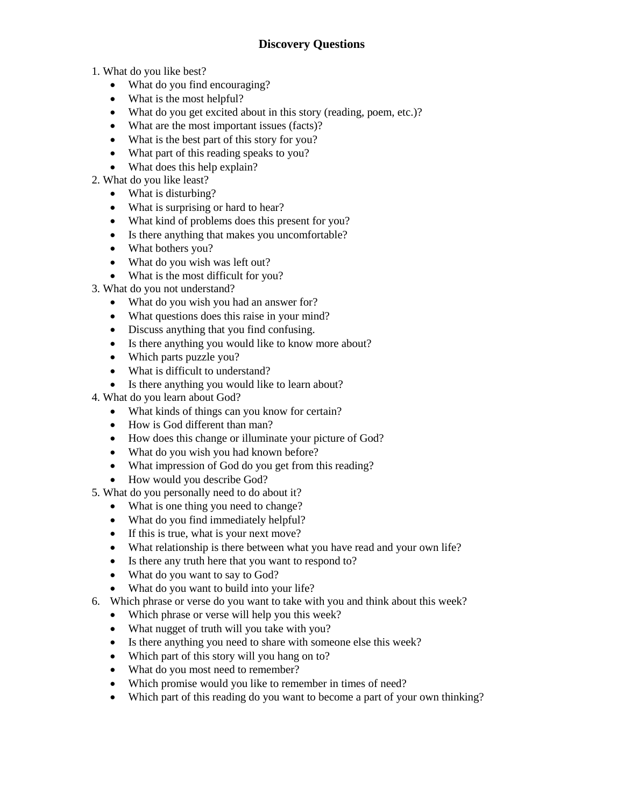- 1. What do you like best?
	- What do you find encouraging?
	- What is the most helpful?
	- What do you get excited about in this story (reading, poem, etc.)?
	- What are the most important issues (facts)?
	- What is the best part of this story for you?
	- What part of this reading speaks to you?
	- What does this help explain?
- 2. What do you like least?
	- What is disturbing?
	- What is surprising or hard to hear?
	- What kind of problems does this present for you?
	- Is there anything that makes you uncomfortable?
	- What bothers you?
	- What do you wish was left out?
	- What is the most difficult for you?
- 3. What do you not understand?
	- What do you wish you had an answer for?
	- What questions does this raise in your mind?
	- Discuss anything that you find confusing.
	- Is there anything you would like to know more about?
	- Which parts puzzle you?
	- What is difficult to understand?
	- Is there anything you would like to learn about?
- 4. What do you learn about God?
	- What kinds of things can you know for certain?
	- How is God different than man?
	- How does this change or illuminate your picture of God?
	- What do you wish you had known before?
	- What impression of God do you get from this reading?
	- How would you describe God?
- 5. What do you personally need to do about it?
	- What is one thing you need to change?
	- What do you find immediately helpful?
	- If this is true, what is your next move?
	- What relationship is there between what you have read and your own life?
	- Is there any truth here that you want to respond to?
	- What do you want to say to God?
	- What do you want to build into your life?
- 6. Which phrase or verse do you want to take with you and think about this week?
	- Which phrase or verse will help you this week?
	- What nugget of truth will you take with you?
	- Is there anything you need to share with someone else this week?
	- Which part of this story will you hang on to?
	- What do you most need to remember?
	- Which promise would you like to remember in times of need?
	- Which part of this reading do you want to become a part of your own thinking?